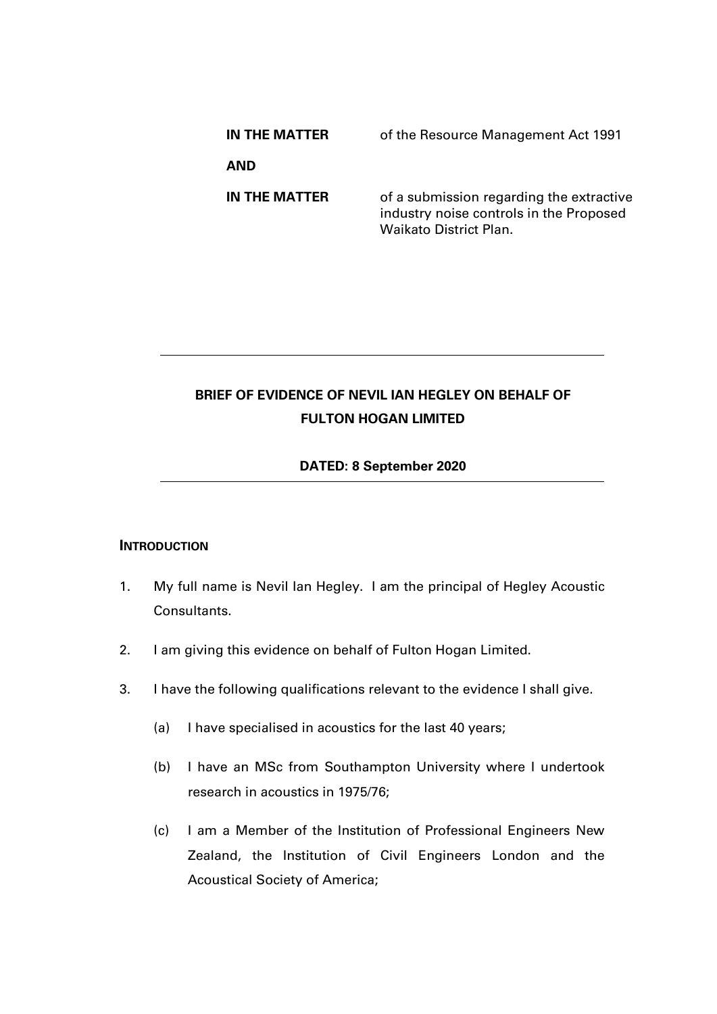| IN THE MATTER | of the Resource Management Act 1991                                                                                  |
|---------------|----------------------------------------------------------------------------------------------------------------------|
| AND           |                                                                                                                      |
| IN THE MATTER | of a submission regarding the extractive<br>industry noise controls in the Proposed<br><b>Waikato District Plan.</b> |

# **BRIEF OF EVIDENCE OF NEVIL IAN HEGLEY ON BEHALF OF FULTON HOGAN LIMITED**

## **DATED: 8 September 2020**

## **INTRODUCTION**

- 1. My full name is Nevil Ian Hegley. I am the principal of Hegley Acoustic Consultants.
- 2. I am giving this evidence on behalf of Fulton Hogan Limited.
- 3. I have the following qualifications relevant to the evidence I shall give.
	- (a) I have specialised in acoustics for the last 40 years;
	- (b) I have an MSc from Southampton University where I undertook research in acoustics in 1975/76;
	- (c) I am a Member of the Institution of Professional Engineers New Zealand, the Institution of Civil Engineers London and the Acoustical Society of America;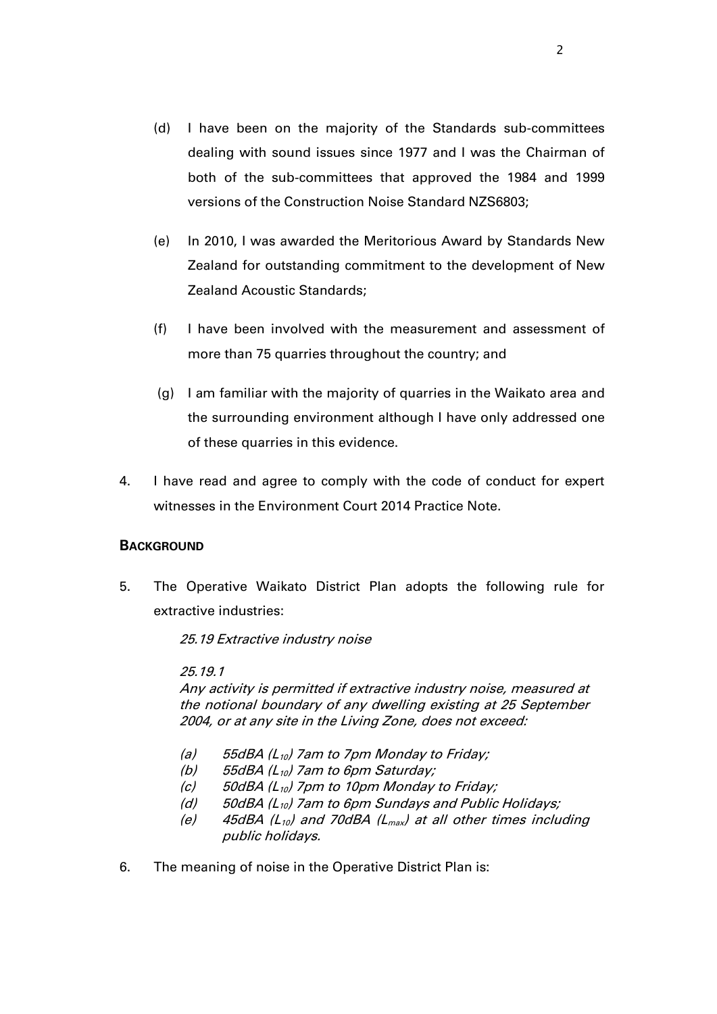- (d) I have been on the majority of the Standards sub-committees dealing with sound issues since 1977 and I was the Chairman of both of the sub-committees that approved the 1984 and 1999 versions of the Construction Noise Standard NZS6803;
- (e) In 2010, I was awarded the Meritorious Award by Standards New Zealand for outstanding commitment to the development of New Zealand Acoustic Standards;
- (f) I have been involved with the measurement and assessment of more than 75 quarries throughout the country; and
- (g) I am familiar with the majority of quarries in the Waikato area and the surrounding environment although I have only addressed one of these quarries in this evidence.
- 4. I have read and agree to comply with the code of conduct for expert witnesses in the Environment Court 2014 Practice Note.

## **BACKGROUND**

5. The Operative Waikato District Plan adopts the following rule for extractive industries:

25.19 Extractive industry noise

25.19.1

Any activity is permitted if extractive industry noise, measured at the notional boundary of any dwelling existing at 25 September 2004, or at any site in the Living Zone, does not exceed:

- (a) 55dBA ( $L_{10}$ ) 7am to 7pm Monday to Friday;
- (b) 55dBA ( $L_{10}$ ) 7am to 6pm Saturday;
- (c) 50dBA ( $L_{10}$ ) 7pm to 10pm Monday to Friday;
- (d)  $50$ dBA (L<sub>10</sub>) 7am to 6pm Sundays and Public Holidays;
- (e) 45dBA ( $L_{10}$ ) and 70dBA ( $L_{max}$ ) at all other times including public holidays.
- 6. The meaning of noise in the Operative District Plan is: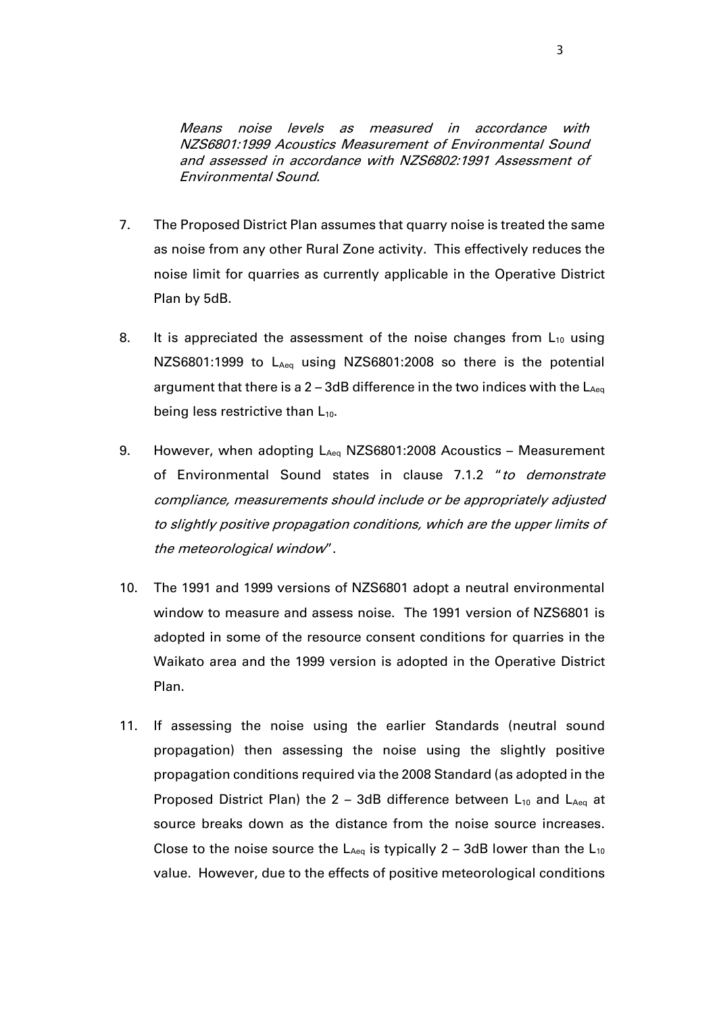Means noise levels as measured in accordance with NZS6801:1999 Acoustics Measurement of Environmental Sound and assessed in accordance with NZS6802:1991 Assessment of Environmental Sound.

- 7. The Proposed District Plan assumes that quarry noise is treated the same as noise from any other Rural Zone activity. This effectively reduces the noise limit for quarries as currently applicable in the Operative District Plan by 5dB.
- 8. It is appreciated the assessment of the noise changes from  $L_{10}$  using NZS6801:1999 to L<sub>Aeq</sub> using NZS6801:2008 so there is the potential argument that there is a  $2 - 3$ dB difference in the two indices with the  $L_{Aeq}$ being less restrictive than  $L_{10}$ .
- 9. However, when adopting LAeq NZS6801:2008 Acoustics Measurement of Environmental Sound states in clause 7.1.2 "to demonstrate compliance, measurements should include or be appropriately adjusted to slightly positive propagation conditions, which are the upper limits of the meteorological window".
- 10. The 1991 and 1999 versions of NZS6801 adopt a neutral environmental window to measure and assess noise. The 1991 version of NZS6801 is adopted in some of the resource consent conditions for quarries in the Waikato area and the 1999 version is adopted in the Operative District Plan.
- 11. If assessing the noise using the earlier Standards (neutral sound propagation) then assessing the noise using the slightly positive propagation conditions required via the 2008 Standard (as adopted in the Proposed District Plan) the 2 – 3dB difference between  $L_{10}$  and  $L_{Aeq}$  at source breaks down as the distance from the noise source increases. Close to the noise source the  $L_{Aeq}$  is typically 2 – 3dB lower than the  $L_{10}$ value. However, due to the effects of positive meteorological conditions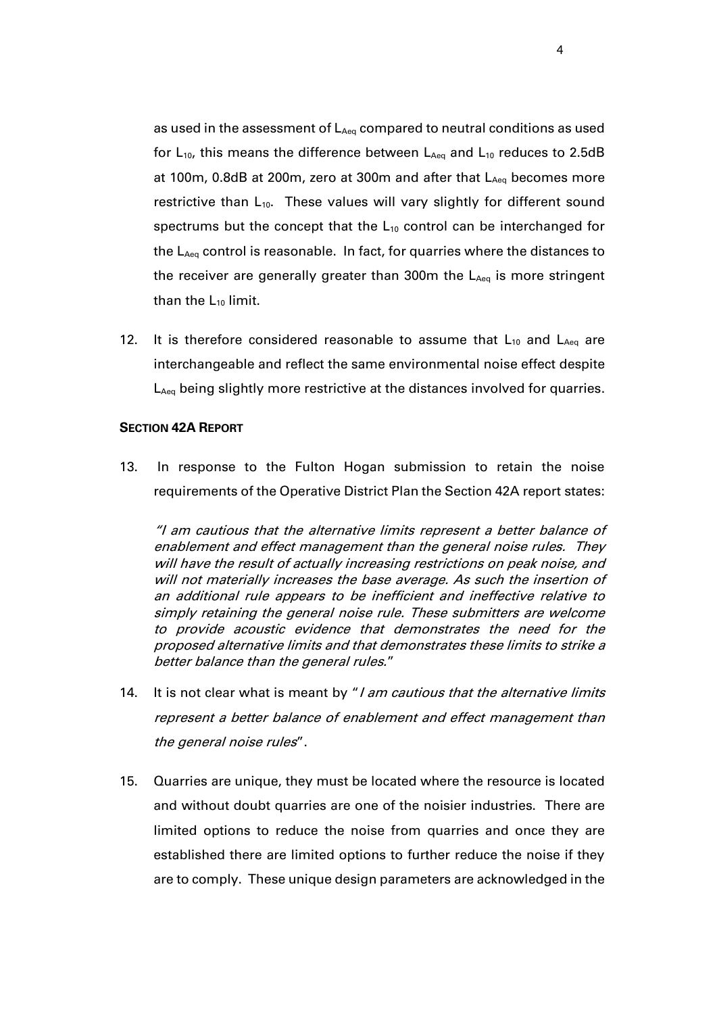as used in the assessment of  $L_{Aeq}$  compared to neutral conditions as used for  $L_{10}$ , this means the difference between  $L_{Aeq}$  and  $L_{10}$  reduces to 2.5dB at 100m, 0.8dB at 200m, zero at 300m and after that  $L_{Aeq}$  becomes more restrictive than L<sub>10</sub>. These values will vary slightly for different sound spectrums but the concept that the  $L_{10}$  control can be interchanged for the L<sub>Aeq</sub> control is reasonable. In fact, for quarries where the distances to the receiver are generally greater than 300 $m$  the  $L_{Aeq}$  is more stringent than the  $L_{10}$  limit.

12. It is therefore considered reasonable to assume that  $L_{10}$  and  $L_{Aeq}$  are interchangeable and reflect the same environmental noise effect despite L<sub>Aeq</sub> being slightly more restrictive at the distances involved for quarries.

#### **SECTION 42A REPORT**

13. In response to the Fulton Hogan submission to retain the noise requirements of the Operative District Plan the Section 42A report states:

"I am cautious that the alternative limits represent a better balance of enablement and effect management than the general noise rules. They will have the result of actually increasing restrictions on peak noise, and will not materially increases the base average. As such the insertion of an additional rule appears to be inefficient and ineffective relative to simply retaining the general noise rule. These submitters are welcome to provide acoustic evidence that demonstrates the need for the proposed alternative limits and that demonstrates these limits to strike a better balance than the general rules."

- 14. It is not clear what is meant by "*I am cautious that the alternative limits* represent a better balance of enablement and effect management than the general noise rules".
- 15. Quarries are unique, they must be located where the resource is located and without doubt quarries are one of the noisier industries. There are limited options to reduce the noise from quarries and once they are established there are limited options to further reduce the noise if they are to comply. These unique design parameters are acknowledged in the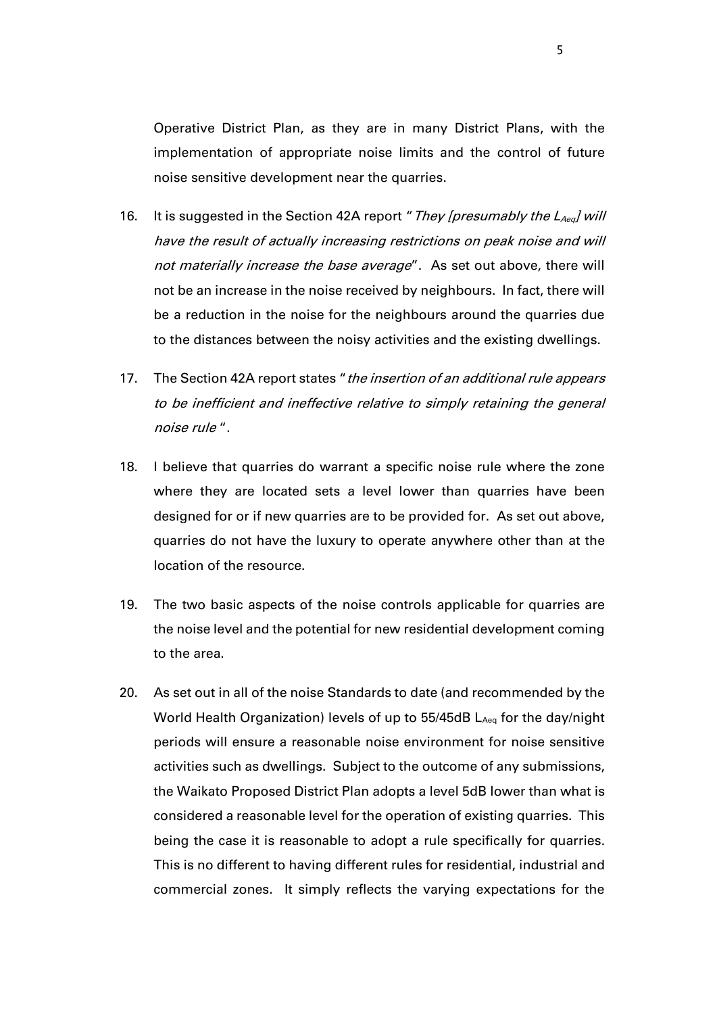Operative District Plan, as they are in many District Plans, with the implementation of appropriate noise limits and the control of future noise sensitive development near the quarries.

- 16. It is suggested in the Section 42A report "They [presumably the  $L_{Aeq}$ ] will have the result of actually increasing restrictions on peak noise and will not materially increase the base average". As set out above, there will not be an increase in the noise received by neighbours. In fact, there will be a reduction in the noise for the neighbours around the quarries due to the distances between the noisy activities and the existing dwellings.
- 17. The Section 42A report states "*the insertion of an additional rule appears* to be inefficient and ineffective relative to simply retaining the general noise rule ".
- 18. I believe that quarries do warrant a specific noise rule where the zone where they are located sets a level lower than quarries have been designed for or if new quarries are to be provided for. As set out above, quarries do not have the luxury to operate anywhere other than at the location of the resource.
- 19. The two basic aspects of the noise controls applicable for quarries are the noise level and the potential for new residential development coming to the area.
- 20. As set out in all of the noise Standards to date (and recommended by the World Health Organization) levels of up to 55/45dB LAeq for the day/night periods will ensure a reasonable noise environment for noise sensitive activities such as dwellings. Subject to the outcome of any submissions, the Waikato Proposed District Plan adopts a level 5dB lower than what is considered a reasonable level for the operation of existing quarries. This being the case it is reasonable to adopt a rule specifically for quarries. This is no different to having different rules for residential, industrial and commercial zones. It simply reflects the varying expectations for the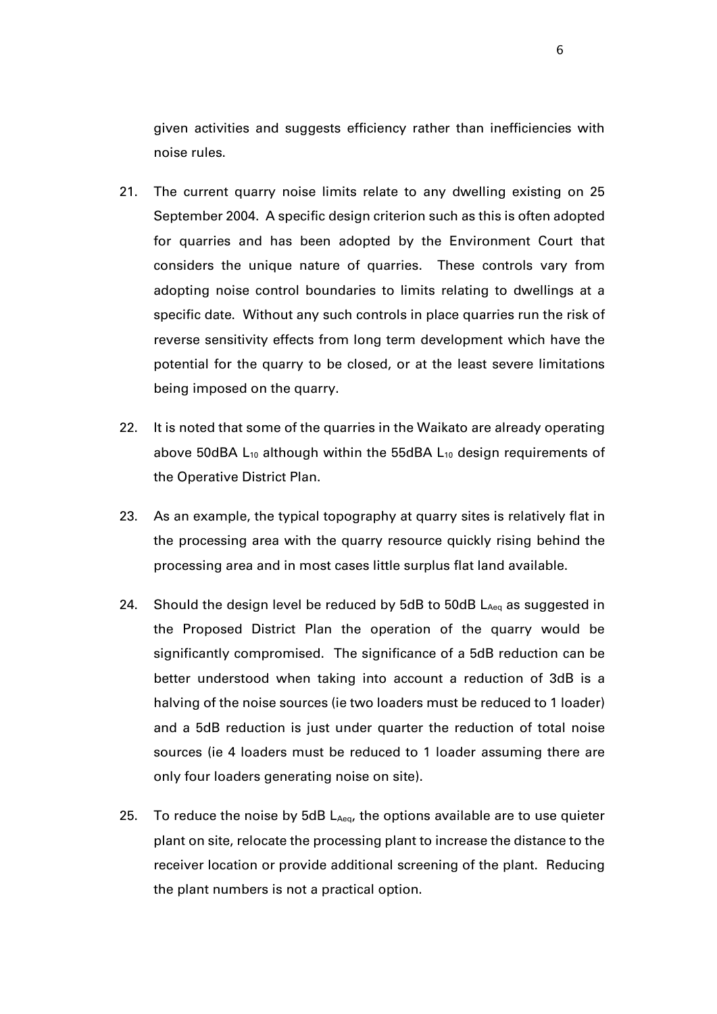given activities and suggests efficiency rather than inefficiencies with noise rules.

- 21. The current quarry noise limits relate to any dwelling existing on 25 September 2004. A specific design criterion such as this is often adopted for quarries and has been adopted by the Environment Court that considers the unique nature of quarries. These controls vary from adopting noise control boundaries to limits relating to dwellings at a specific date. Without any such controls in place quarries run the risk of reverse sensitivity effects from long term development which have the potential for the quarry to be closed, or at the least severe limitations being imposed on the quarry.
- 22. It is noted that some of the quarries in the Waikato are already operating above 50dBA  $L_{10}$  although within the 55dBA  $L_{10}$  design requirements of the Operative District Plan.
- 23. As an example, the typical topography at quarry sites is relatively flat in the processing area with the quarry resource quickly rising behind the processing area and in most cases little surplus flat land available.
- 24. Should the design level be reduced by  $5dB$  to  $50dB$   $L_{Aeq}$  as suggested in the Proposed District Plan the operation of the quarry would be significantly compromised. The significance of a 5dB reduction can be better understood when taking into account a reduction of 3dB is a halving of the noise sources (ie two loaders must be reduced to 1 loader) and a 5dB reduction is just under quarter the reduction of total noise sources (ie 4 loaders must be reduced to 1 loader assuming there are only four loaders generating noise on site).
- 25. To reduce the noise by 5dB  $L_{Aeq}$ , the options available are to use quieter plant on site, relocate the processing plant to increase the distance to the receiver location or provide additional screening of the plant. Reducing the plant numbers is not a practical option.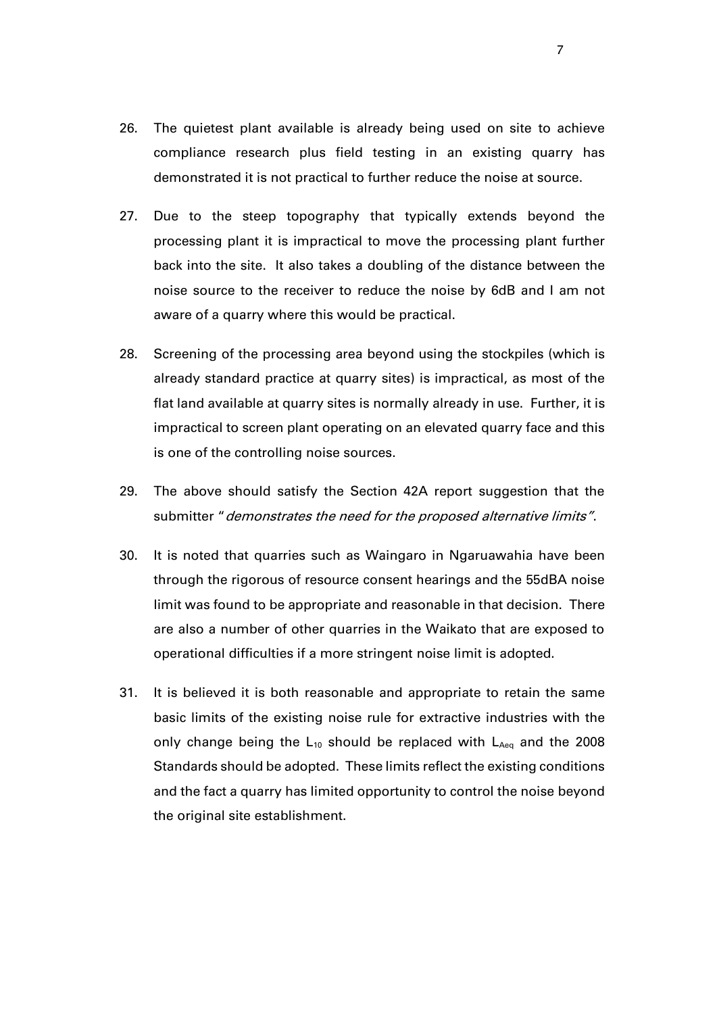- 26. The quietest plant available is already being used on site to achieve compliance research plus field testing in an existing quarry has demonstrated it is not practical to further reduce the noise at source.
- 27. Due to the steep topography that typically extends beyond the processing plant it is impractical to move the processing plant further back into the site. It also takes a doubling of the distance between the noise source to the receiver to reduce the noise by 6dB and I am not aware of a quarry where this would be practical.
- 28. Screening of the processing area beyond using the stockpiles (which is already standard practice at quarry sites) is impractical, as most of the flat land available at quarry sites is normally already in use. Further, it is impractical to screen plant operating on an elevated quarry face and this is one of the controlling noise sources.
- 29. The above should satisfy the Section 42A report suggestion that the submitter "demonstrates the need for the proposed alternative limits".
- 30. It is noted that quarries such as Waingaro in Ngaruawahia have been through the rigorous of resource consent hearings and the 55dBA noise limit was found to be appropriate and reasonable in that decision. There are also a number of other quarries in the Waikato that are exposed to operational difficulties if a more stringent noise limit is adopted.
- 31. It is believed it is both reasonable and appropriate to retain the same basic limits of the existing noise rule for extractive industries with the only change being the  $L_{10}$  should be replaced with  $L_{Aeq}$  and the 2008 Standards should be adopted. These limits reflect the existing conditions and the fact a quarry has limited opportunity to control the noise beyond the original site establishment.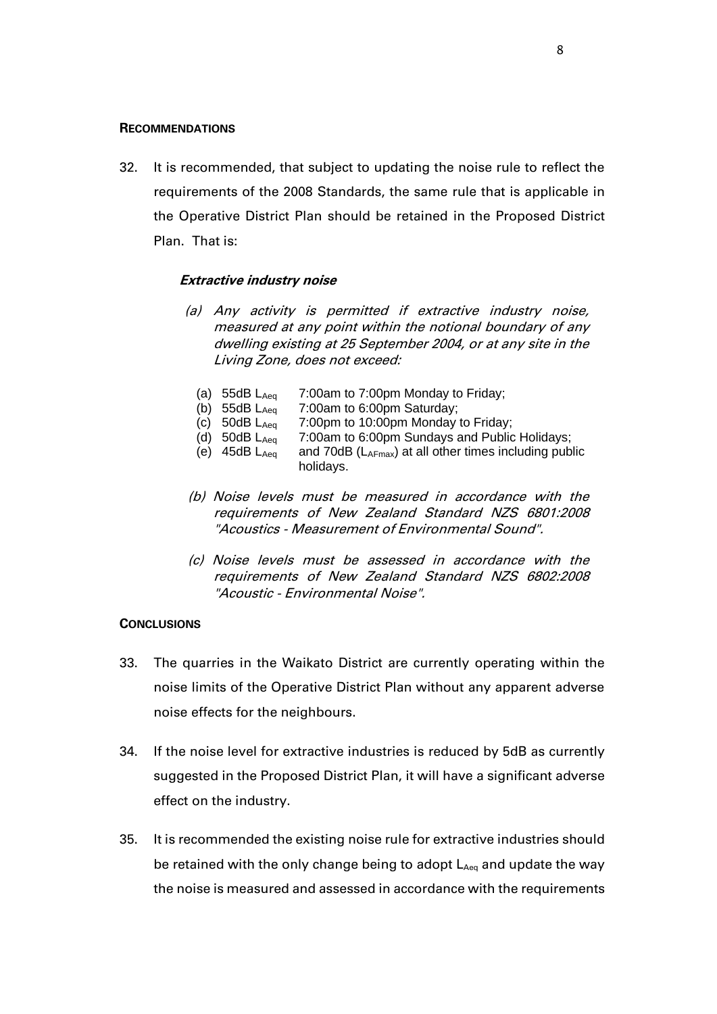#### **RECOMMENDATIONS**

32. It is recommended, that subject to updating the noise rule to reflect the requirements of the 2008 Standards, the same rule that is applicable in the Operative District Plan should be retained in the Proposed District Plan. That is:

#### **Extractive industry noise**

- (a) Any activity is permitted if extractive industry noise, measured at any point within the notional boundary of any dwelling existing at 25 September 2004, or at any site in the Living Zone, does not exceed:
	- (a) 55dB L<sub>Aeq</sub> 7:00am to 7:00pm Monday to Friday;
	- (b)  $55dB L<sub>Aeq</sub>$  7:00am to 6:00pm Saturday;
	- (c)  $50dB$   $L_{Aeq}$   $7:00pm$  to 10:00pm Monday to Friday;
	- (d) 50dB  $L_{Aeq}$  7:00am to 6:00pm Sundays and Public Holidays;<br>(e) 45dB  $L_{Aeq}$  and 70dB ( $L_{AFmax}$ ) at all other times including public
	- and 70dB ( $L_{AFmax}$ ) at all other times including public holidays.
- (b) Noise levels must be measured in accordance with the requirements of New Zealand Standard NZS 6801:2008 "Acoustics - Measurement of Environmental Sound".
- (c) Noise levels must be assessed in accordance with the requirements of New Zealand Standard NZS 6802:2008 "Acoustic - Environmental Noise".

#### **CONCLUSIONS**

- 33. The quarries in the Waikato District are currently operating within the noise limits of the Operative District Plan without any apparent adverse noise effects for the neighbours.
- 34. If the noise level for extractive industries is reduced by 5dB as currently suggested in the Proposed District Plan, it will have a significant adverse effect on the industry.
- 35. It is recommended the existing noise rule for extractive industries should be retained with the only change being to adopt  $L_{Aeq}$  and update the way the noise is measured and assessed in accordance with the requirements